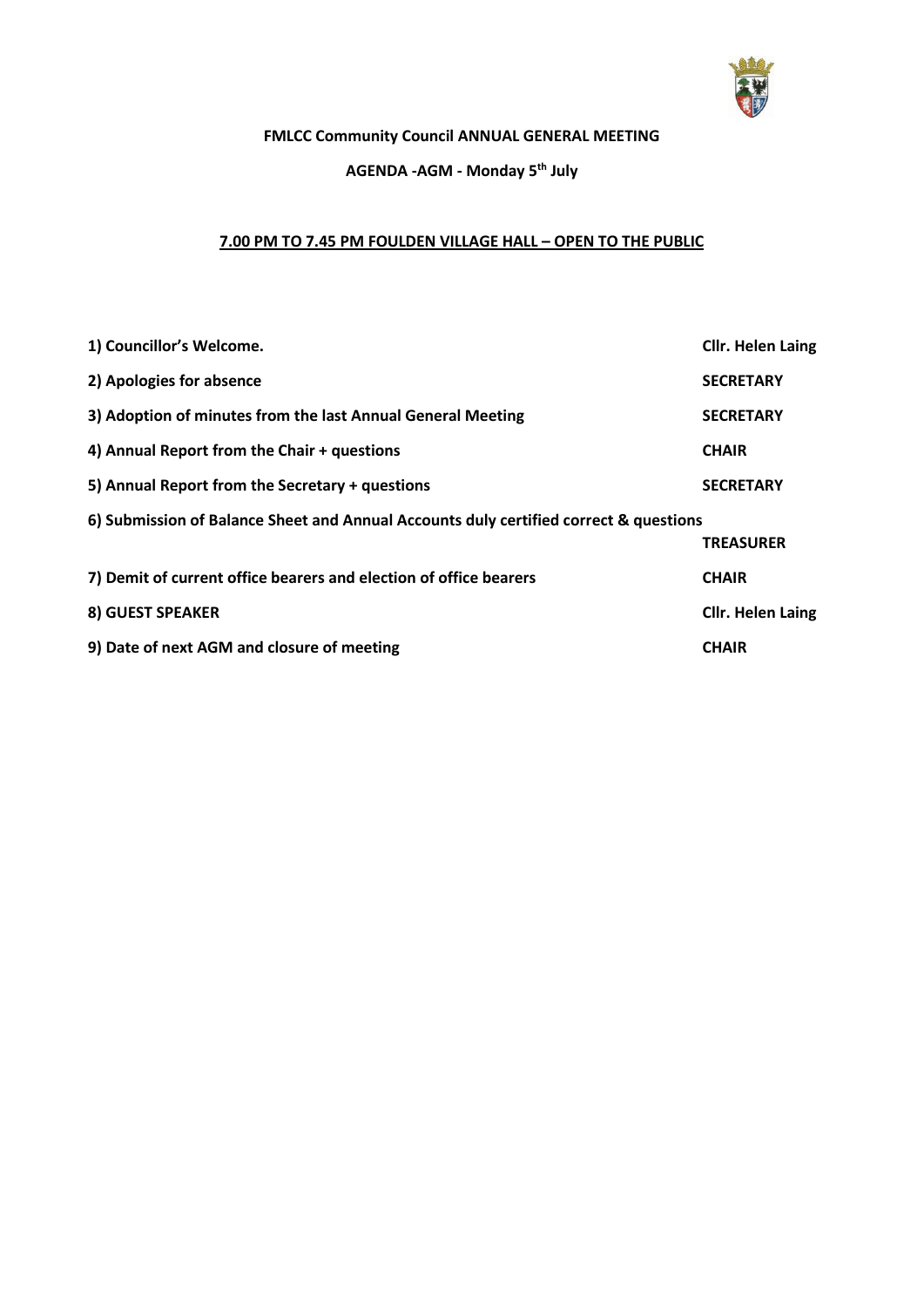

# **FMLCC Community Council ANNUAL GENERAL MEETING**

### **AGENDA -AGM - Monday 5 th July**

# **7.00 PM TO 7.45 PM FOULDEN VILLAGE HALL – OPEN TO THE PUBLIC**

| 1) Councillor's Welcome.                                                              | <b>Cllr. Helen Laing</b> |  |
|---------------------------------------------------------------------------------------|--------------------------|--|
| 2) Apologies for absence                                                              | <b>SECRETARY</b>         |  |
| 3) Adoption of minutes from the last Annual General Meeting                           | <b>SECRETARY</b>         |  |
| 4) Annual Report from the Chair + questions                                           | <b>CHAIR</b>             |  |
| 5) Annual Report from the Secretary + questions                                       | <b>SECRETARY</b>         |  |
| 6) Submission of Balance Sheet and Annual Accounts duly certified correct & questions |                          |  |
|                                                                                       | <b>TREASURER</b>         |  |
| 7) Demit of current office bearers and election of office bearers                     | <b>CHAIR</b>             |  |
| <b>8) GUEST SPEAKER</b>                                                               | <b>Cllr. Helen Laing</b> |  |
| 9) Date of next AGM and closure of meeting                                            | <b>CHAIR</b>             |  |